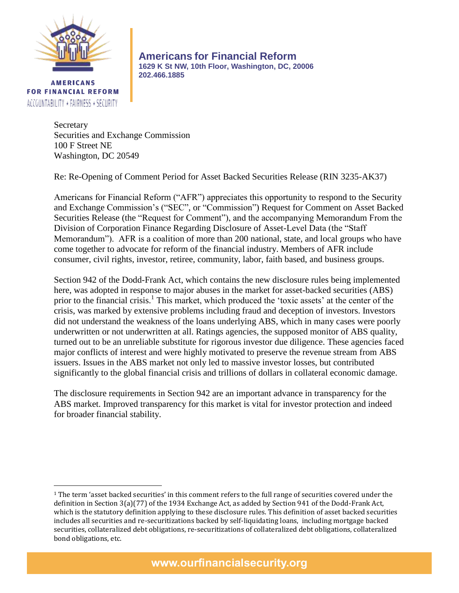

**AMERICANS FOR FINANCIAL REFORM** ACCOUNTABILITY \* FAIRNESS \* SECURITY

 $\overline{\phantom{a}}$ 

## **Americans for Financial Reform**

**1629 K St NW, 10th Floor, Washington, DC, 20006 202.466.1885** 

 100 F Street NE Secretary Securities and Exchange Commission Washington, DC 20549

Re: Re-Opening of Comment Period for Asset Backed Securities Release (RIN 3235-AK37)

 Securities Release (the "Request for Comment"), and the accompanying Memorandum From the Americans for Financial Reform ("AFR") appreciates this opportunity to respond to the Security and Exchange Commission's ("SEC", or "Commission") Request for Comment on Asset Backed Division of Corporation Finance Regarding Disclosure of Asset-Level Data (the "Staff Memorandum"). AFR is a coalition of more than 200 national, state, and local groups who have come together to advocate for reform of the financial industry. Members of AFR include consumer, civil rights, investor, retiree, community, labor, faith based, and business groups.

Section 942 of the Dodd-Frank Act, which contains the new disclosure rules being implemented here, was adopted in response to major abuses in the market for asset-backed securities (ABS) prior to the financial crisis.<sup>1</sup> This market, which produced the 'toxic assets' at the center of the crisis, was marked by extensive problems including fraud and deception of investors. Investors did not understand the weakness of the loans underlying ABS, which in many cases were poorly underwritten or not underwritten at all. Ratings agencies, the supposed monitor of ABS quality, turned out to be an unreliable substitute for rigorous investor due diligence. These agencies faced major conflicts of interest and were highly motivated to preserve the revenue stream from ABS issuers. Issues in the ABS market not only led to massive investor losses, but contributed significantly to the global financial crisis and trillions of dollars in collateral economic damage.

The disclosure requirements in Section 942 are an important advance in transparency for the ABS market. Improved transparency for this market is vital for investor protection and indeed for broader financial stability.

 $1$  The term 'asset backed securities' in this comment refers to the full range of securities covered under the definition in Section 3(a)(77) of the 1934 Exchange Act, as added by Section 941 of the Dodd-Frank Act, which is the statutory definition applying to these disclosure rules. This definition of asset backed securities includes all securities and re-securitizations backed by self-liquidating loans, including mortgage backed securities, collateralized debt obligations, re-securitizations of collateralized debt obligations, collateralized bond obligations, etc.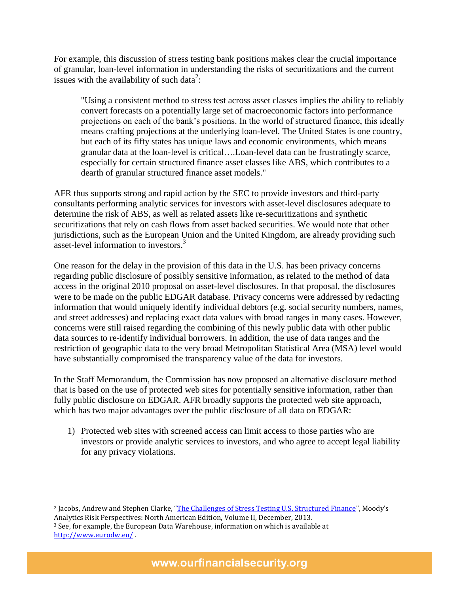For example, this discussion of stress testing bank positions makes clear the crucial importance of granular, loan-level information in understanding the risks of securitizations and the current issues with the availability of such data<sup>2</sup>:

 granular data at the loan-level is critical….Loan-level data can be frustratingly scarce, "Using a consistent method to stress test across asset classes implies the ability to reliably convert forecasts on a potentially large set of macroeconomic factors into performance projections on each of the bank's positions. In the world of structured finance, this ideally means crafting projections at the underlying loan-level. The United States is one country, but each of its fifty states has unique laws and economic environments, which means especially for certain structured finance asset classes like ABS, which contributes to a dearth of granular structured finance asset models."

asset-level information to investors.<sup>3</sup> AFR thus supports strong and rapid action by the SEC to provide investors and third-party consultants performing analytic services for investors with asset-level disclosures adequate to determine the risk of ABS, as well as related assets like re-securitizations and synthetic securitizations that rely on cash flows from asset backed securities. We would note that other jurisdictions, such as the European Union and the United Kingdom, are already providing such

One reason for the delay in the provision of this data in the U.S. has been privacy concerns regarding public disclosure of possibly sensitive information, as related to the method of data access in the original 2010 proposal on asset-level disclosures. In that proposal, the disclosures were to be made on the public EDGAR database. Privacy concerns were addressed by redacting information that would uniquely identify individual debtors (e.g. social security numbers, names, and street addresses) and replacing exact data values with broad ranges in many cases. However, concerns were still raised regarding the combining of this newly public data with other public data sources to re-identify individual borrowers. In addition, the use of data ranges and the restriction of geographic data to the very broad Metropolitan Statistical Area (MSA) level would have substantially compromised the transparency value of the data for investors.

In the Staff Memorandum, the Commission has now proposed an alternative disclosure method that is based on the use of protected web sites for potentially sensitive information, rather than fully public disclosure on EDGAR. AFR broadly supports the protected web site approach, which has two major advantages over the public disclosure of all data on EDGAR:

1) Protected web sites with screened access can limit access to those parties who are investors or provide analytic services to investors, and who agree to accept legal liability for any privacy violations.

 $\overline{a}$ <sup>2</sup> Jacobs, Andrew and Stephen Clarke, "<u>[The Challenges of Stress Testing U.S. Structured Finance](http://www.moodysanalytics.com/Publications/Risk-Perspectives/2013/RP02/Risk-Perspectives-Stress-Testing-North-America/Regulatory-Spotlight-Overview/The-Challenges-of-Stress-Testing-US-Structured-Finance?mkt_tok=3RkMMJWWfF9wsRonvKzMce%2FhmjTEU5z17OsvWq6g38431UFwdcjKPmjr1YIIScpiI%2BSLDwEYGJlv6SgFQ7bEMatj0LgOWxk%3D)</u>", Moody's Analytics Risk Perspectives: North American Edition, Volume II, December, 2013.

 $3$  See, for example, the European Data Warehouse, information on which is available at <http://www.eurodw.eu/>.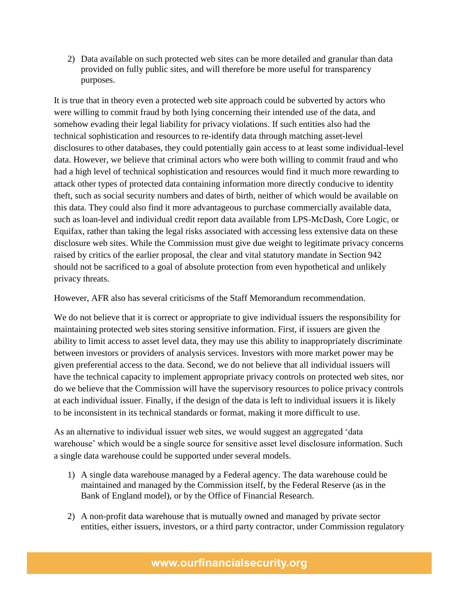2) Data available on such protected web sites can be more detailed and granular than data provided on fully public sites, and will therefore be more useful for transparency purposes.

privacy threats. It is true that in theory even a protected web site approach could be subverted by actors who were willing to commit fraud by both lying concerning their intended use of the data, and somehow evading their legal liability for privacy violations. If such entities also had the technical sophistication and resources to re-identify data through matching asset-level disclosures to other databases, they could potentially gain access to at least some individual-level data. However, we believe that criminal actors who were both willing to commit fraud and who had a high level of technical sophistication and resources would find it much more rewarding to attack other types of protected data containing information more directly conducive to identity theft, such as social security numbers and dates of birth, neither of which would be available on this data. They could also find it more advantageous to purchase commercially available data, such as loan-level and individual credit report data available from LPS-McDash, Core Logic, or Equifax, rather than taking the legal risks associated with accessing less extensive data on these disclosure web sites. While the Commission must give due weight to legitimate privacy concerns raised by critics of the earlier proposal, the clear and vital statutory mandate in Section 942 should not be sacrificed to a goal of absolute protection from even hypothetical and unlikely

However, AFR also has several criticisms of the Staff Memorandum recommendation.

 maintaining protected web sites storing sensitive information. First, if issuers are given the We do not believe that it is correct or appropriate to give individual issuers the responsibility for ability to limit access to asset level data, they may use this ability to inappropriately discriminate between investors or providers of analysis services. Investors with more market power may be given preferential access to the data. Second, we do not believe that all individual issuers will have the technical capacity to implement appropriate privacy controls on protected web sites, nor do we believe that the Commission will have the supervisory resources to police privacy controls at each individual issuer. Finally, if the design of the data is left to individual issuers it is likely to be inconsistent in its technical standards or format, making it more difficult to use.

As an alternative to individual issuer web sites, we would suggest an aggregated 'data warehouse' which would be a single source for sensitive asset level disclosure information. Such a single data warehouse could be supported under several models.

- 1) A single data warehouse managed by a Federal agency. The data warehouse could be maintained and managed by the Commission itself, by the Federal Reserve (as in the Bank of England model), or by the Office of Financial Research.
- 2) A non-profit data warehouse that is mutually owned and managed by private sector entities, either issuers, investors, or a third party contractor, under Commission regulatory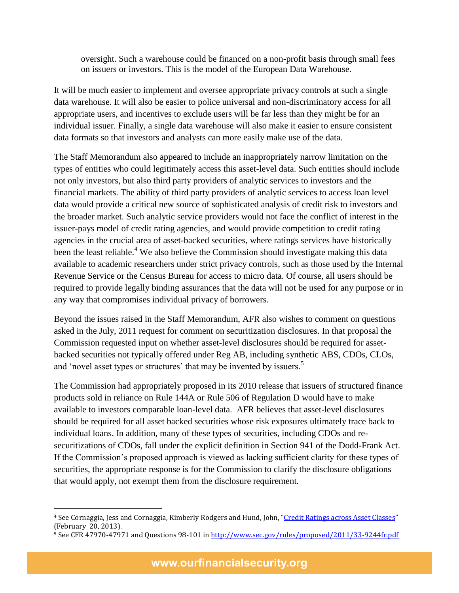oversight. Such a warehouse could be financed on a non-profit basis through small fees on issuers or investors. This is the model of the European Data Warehouse.

 data warehouse. It will also be easier to police universal and non-discriminatory access for all appropriate users, and incentives to exclude users will be far less than they might be for an data formats so that investors and analysts can more easily make use of the data. It will be much easier to implement and oversee appropriate privacy controls at such a single individual issuer. Finally, a single data warehouse will also make it easier to ensure consistent

The Staff Memorandum also appeared to include an inappropriately narrow limitation on the types of entities who could legitimately access this asset-level data. Such entities should include not only investors, but also third party providers of analytic services to investors and the financial markets. The ability of third party providers of analytic services to access loan level data would provide a critical new source of sophisticated analysis of credit risk to investors and the broader market. Such analytic service providers would not face the conflict of interest in the issuer-pays model of credit rating agencies, and would provide competition to credit rating agencies in the crucial area of asset-backed securities, where ratings services have historically been the least reliable.<sup>4</sup> We also believe the Commission should investigate making this data available to academic researchers under strict privacy controls, such as those used by the Internal Revenue Service or the Census Bureau for access to micro data. Of course, all users should be required to provide legally binding assurances that the data will not be used for any purpose or in any way that compromises individual privacy of borrowers.

and 'novel asset types or structures' that may be invented by issuers.<sup>5</sup> Beyond the issues raised in the Staff Memorandum, AFR also wishes to comment on questions asked in the July, 2011 request for comment on securitization disclosures. In that proposal the Commission requested input on whether asset-level disclosures should be required for assetbacked securities not typically offered under Reg AB, including synthetic ABS, CDOs, CLOs,

 available to investors comparable loan-level data. AFR believes that asset-level disclosures securitizations of CDOs, fall under the explicit definition in Section 941 of the Dodd-Frank Act. The Commission had appropriately proposed in its 2010 release that issuers of structured finance products sold in reliance on Rule 144A or Rule 506 of Regulation D would have to make should be required for all asset backed securities whose risk exposures ultimately trace back to individual loans. In addition, many of these types of securities, including CDOs and re-If the Commission's proposed approach is viewed as lacking sufficient clarity for these types of securities, the appropriate response is for the Commission to clarify the disclosure obligations that would apply, not exempt them from the disclosure requirement.

 $\overline{\phantom{a}}$ 

<sup>&</sup>lt;sup>4</sup> See Cornaggia, Jess and Cornaggia, Kimberly Rodgers and Hund, John, "<u>[Credit Ratings across Asset Classes](http://ssrn.com/abstract=1909091)</u>" (February 20, 2013).

<sup>&</sup>lt;sup>5</sup> See CFR 47970-47971 and Questions 98-101 in<http://www.sec.gov/rules/proposed/2011/33-9244fr.pdf>